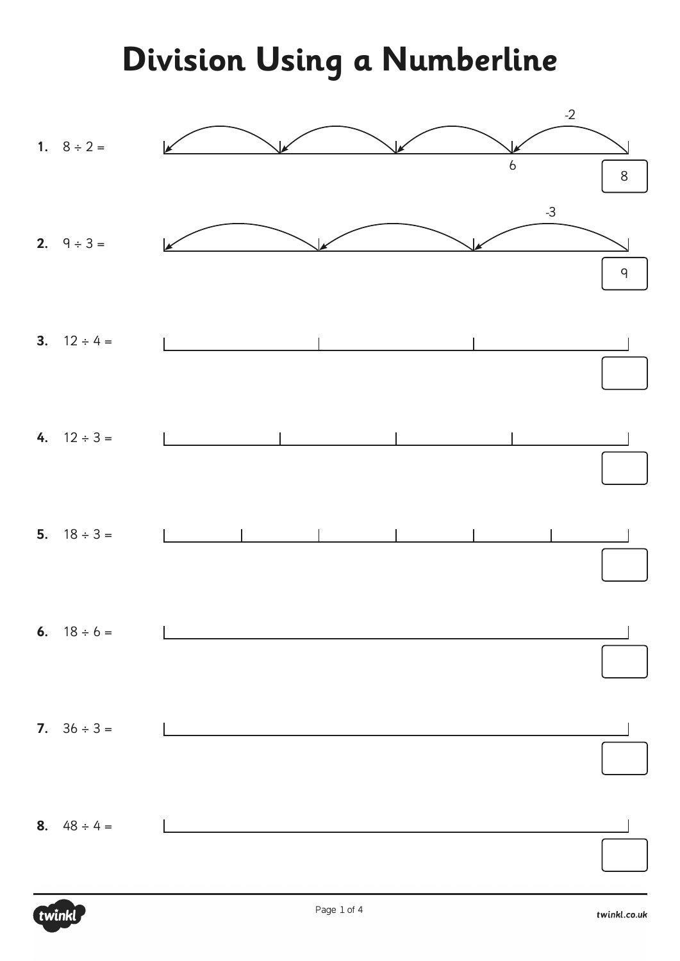**Division Using a Numberline**

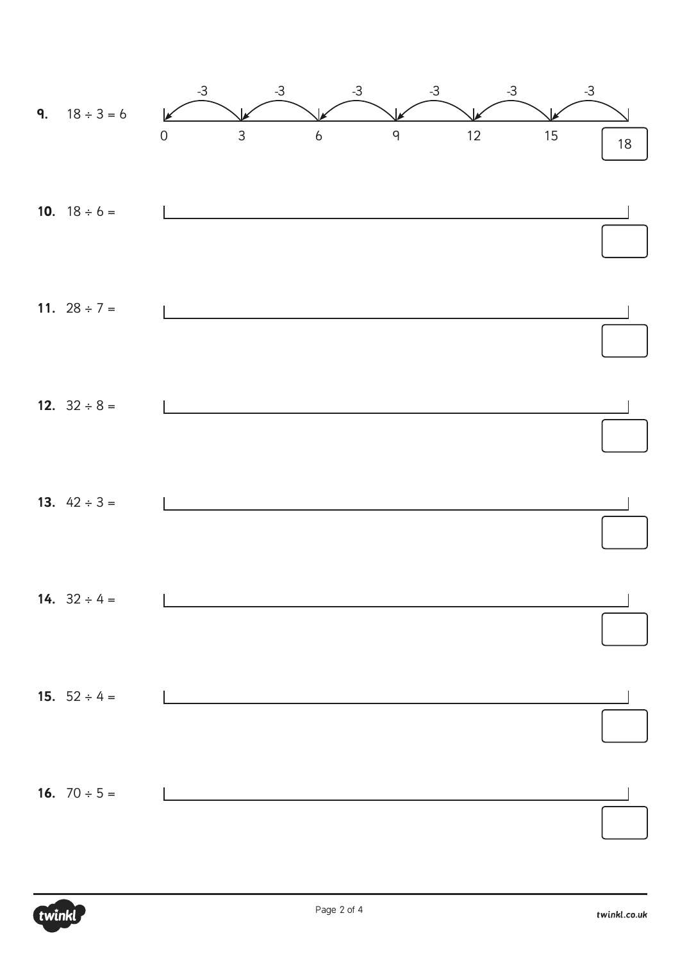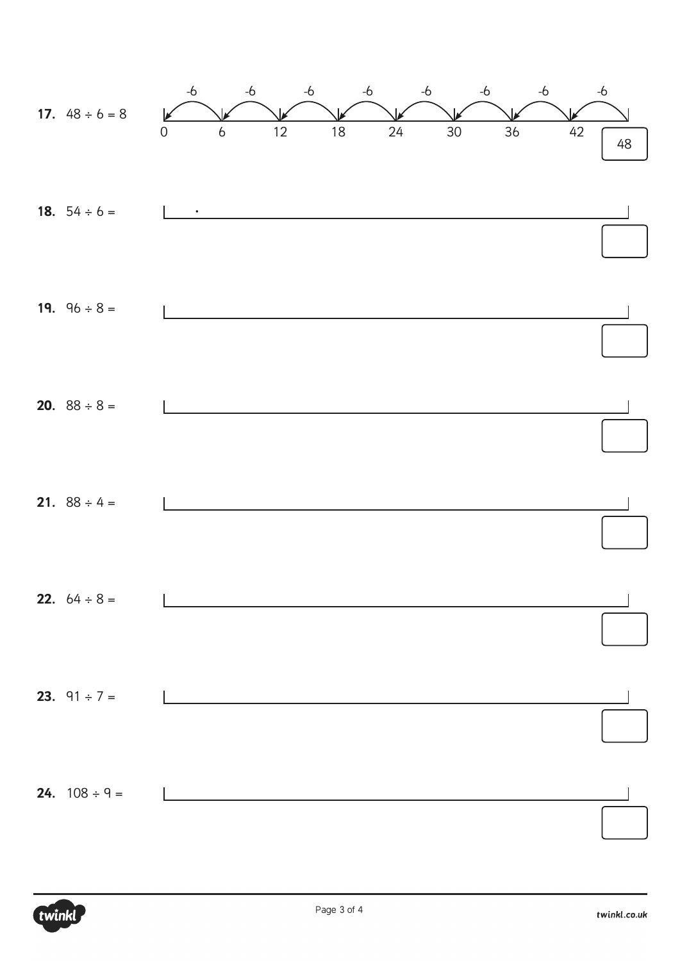